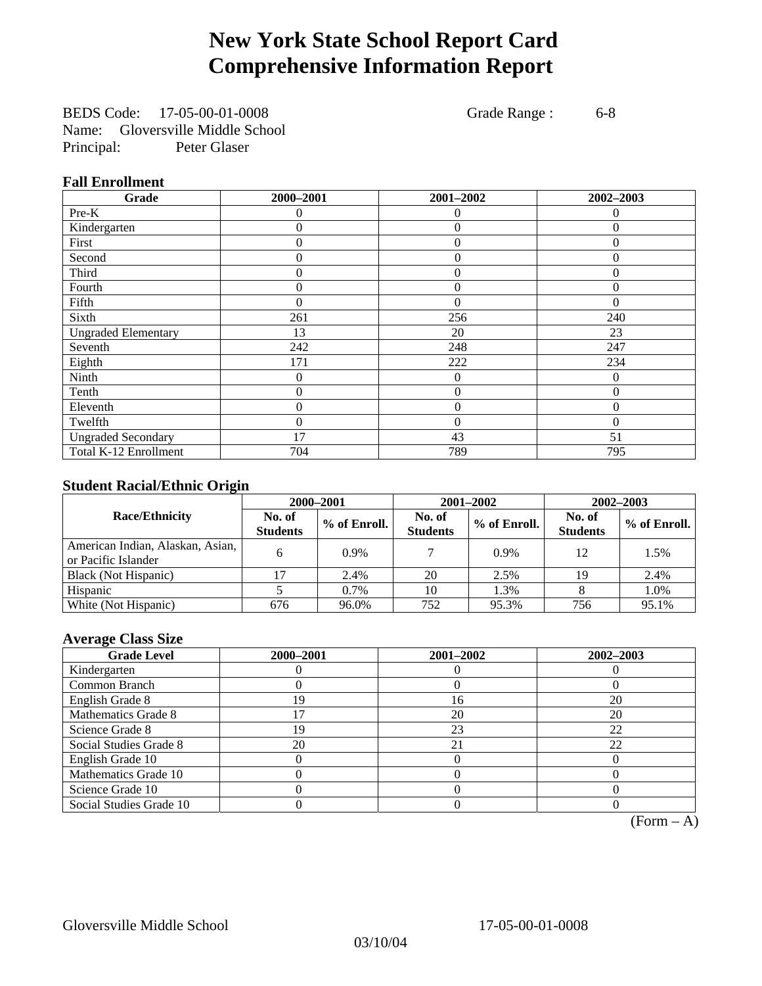# **New York State School Report Card Comprehensive Information Report**

BEDS Code: 17-05-00-01-0008 Grade Range : 6-8 Name: Gloversville Middle School Principal: Peter Glaser

### **Fall Enrollment**

| Grade                      | 2000-2001 | 2001-2002      | 2002-2003 |
|----------------------------|-----------|----------------|-----------|
| $Pre-K$                    | 0         | $\theta$       | $\Omega$  |
| Kindergarten               | 0         | $\theta$       | 0         |
| First                      | 0         | $\Omega$       | 0         |
| Second                     | 0         | $\theta$       | $\Omega$  |
| Third                      | 0         | $\theta$       | 0         |
| Fourth                     | 0         | $\theta$       | $\theta$  |
| Fifth                      | $\Omega$  | $\Omega$       | $\Omega$  |
| Sixth                      | 261       | 256            | 240       |
| <b>Ungraded Elementary</b> | 13        | 20             | 23        |
| Seventh                    | 242       | 248            | 247       |
| Eighth                     | 171       | 222            | 234       |
| Ninth                      | 0         | $\theta$       | 0         |
| Tenth                      | 0         | $\mathbf{0}$   | $\theta$  |
| Eleventh                   | 0         | $\overline{0}$ | $\Omega$  |
| Twelfth                    | 0         | $\overline{0}$ | $\Omega$  |
| <b>Ungraded Secondary</b>  | 17        | 43             | 51        |
| Total K-12 Enrollment      | 704       | 789            | 795       |

### **Student Racial/Ethnic Origin**

|                                                         | 2000-2001                 |              |                           | 2001-2002    | 2002-2003                 |                |
|---------------------------------------------------------|---------------------------|--------------|---------------------------|--------------|---------------------------|----------------|
| <b>Race/Ethnicity</b>                                   | No. of<br><b>Students</b> | % of Enroll. | No. of<br><b>Students</b> | % of Enroll. | No. of<br><b>Students</b> | $%$ of Enroll. |
| American Indian, Alaskan, Asian,<br>or Pacific Islander |                           | 0.9%         |                           | 0.9%         | 12                        | 1.5%           |
| Black (Not Hispanic)                                    |                           | 2.4%         | 20                        | 2.5%         | 19                        | 2.4%           |
| Hispanic                                                |                           | 0.7%         | 10                        | 1.3%         |                           | 1.0%           |
| White (Not Hispanic)                                    | 676                       | 96.0%        | 752                       | 95.3%        | 756                       | 95.1%          |

### **Average Class Size**

| <b>Grade Level</b>      | 2000-2001 | 2001-2002 | 2002-2003 |
|-------------------------|-----------|-----------|-----------|
| Kindergarten            |           |           |           |
| Common Branch           |           |           |           |
| English Grade 8         | 19        | 16        | 20        |
| Mathematics Grade 8     |           | 20        | 20        |
| Science Grade 8         | 19        | 23        | 22        |
| Social Studies Grade 8  | 20        | 21        | 22        |
| English Grade 10        |           |           |           |
| Mathematics Grade 10    |           |           |           |
| Science Grade 10        |           |           |           |
| Social Studies Grade 10 |           |           |           |

 $(Form - A)$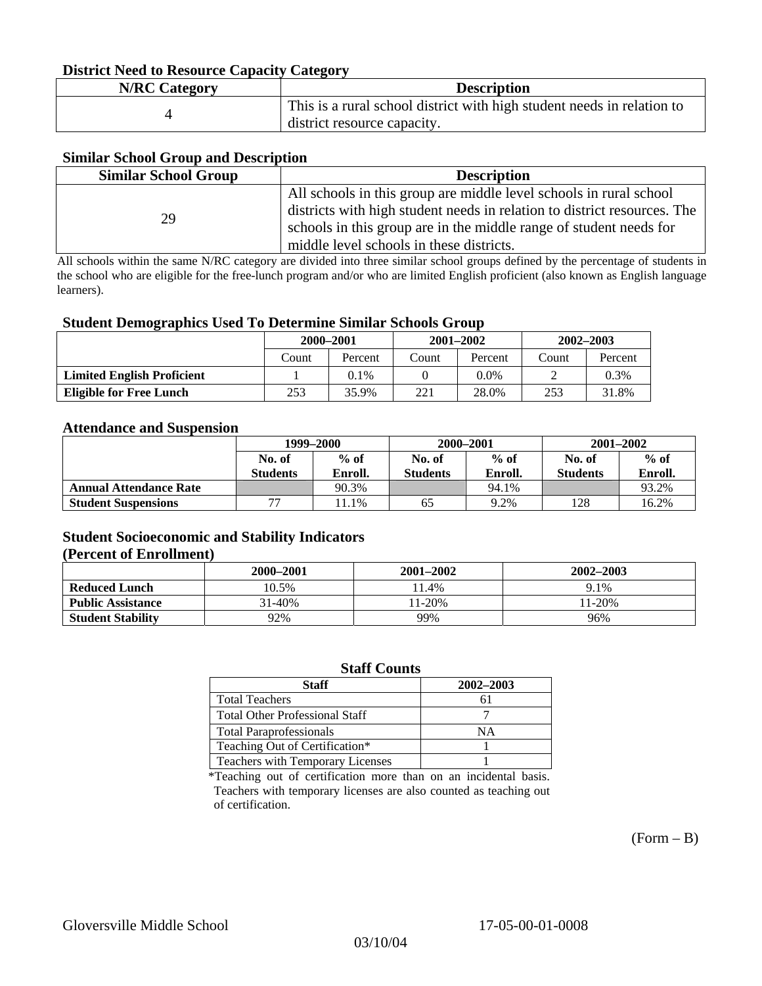### **District Need to Resource Capacity Category**

| <b>N/RC Category</b> | <b>Description</b>                                                     |
|----------------------|------------------------------------------------------------------------|
|                      | This is a rural school district with high student needs in relation to |
|                      | district resource capacity.                                            |

### **Similar School Group and Description**

| <b>Similar School Group</b> | <b>Description</b>                                                       |
|-----------------------------|--------------------------------------------------------------------------|
|                             | All schools in this group are middle level schools in rural school       |
| 29                          | districts with high student needs in relation to district resources. The |
|                             | schools in this group are in the middle range of student needs for       |
|                             | middle level schools in these districts.                                 |

All schools within the same N/RC category are divided into three similar school groups defined by the percentage of students in the school who are eligible for the free-lunch program and/or who are limited English proficient (also known as English language learners).

#### **Student Demographics Used To Determine Similar Schools Group**

| . .                               | 2000-2001 |         | $2001 - 2002$ |         | $2002 - 2003$ |         |
|-----------------------------------|-----------|---------|---------------|---------|---------------|---------|
|                                   | Count     | Percent | Count         | Percent | Count         | Percent |
| <b>Limited English Proficient</b> |           | $0.1\%$ |               | 0.0%    |               | 0.3%    |
| <b>Eligible for Free Lunch</b>    | 253       | 35.9%   | 221           | 28.0%   | 253           | 31.8%   |

#### **Attendance and Suspension**

|                               | 1999–2000                |         |                 | 2000-2001 | $2001 - 2002$   |         |
|-------------------------------|--------------------------|---------|-----------------|-----------|-----------------|---------|
|                               | $%$ of<br>No. of         |         | No. of          | $%$ of    | No. of          | $%$ of  |
|                               | <b>Students</b>          | Enroll. | <b>Students</b> | Enroll.   | <b>Students</b> | Enroll. |
| <b>Annual Attendance Rate</b> |                          | 90.3%   |                 | 94.1%     |                 | 93.2%   |
| <b>Student Suspensions</b>    | $\overline{\phantom{a}}$ | 1.1%    | 65              | 9.2%      | 128             | 16.2%   |

### **Student Socioeconomic and Stability Indicators (Percent of Enrollment)**

|                          | 2000-2001 | $2001 - 2002$ | 2002-2003 |
|--------------------------|-----------|---------------|-----------|
| <b>Reduced Lunch</b>     | 10.5%     | ! 1.4%        | 9.1%      |
| <b>Public Assistance</b> | 31-40%    | $1-20%$       | 11-20%    |
| <b>Student Stability</b> | 92%       | 99%           | 96%       |

#### **Staff Counts**

| Staff                                 | 2002-2003 |
|---------------------------------------|-----------|
| <b>Total Teachers</b>                 |           |
| <b>Total Other Professional Staff</b> |           |
| <b>Total Paraprofessionals</b>        | NΑ        |
| Teaching Out of Certification*        |           |
| Teachers with Temporary Licenses      |           |

\*Teaching out of certification more than on an incidental basis. Teachers with temporary licenses are also counted as teaching out of certification.

 $(Form - B)$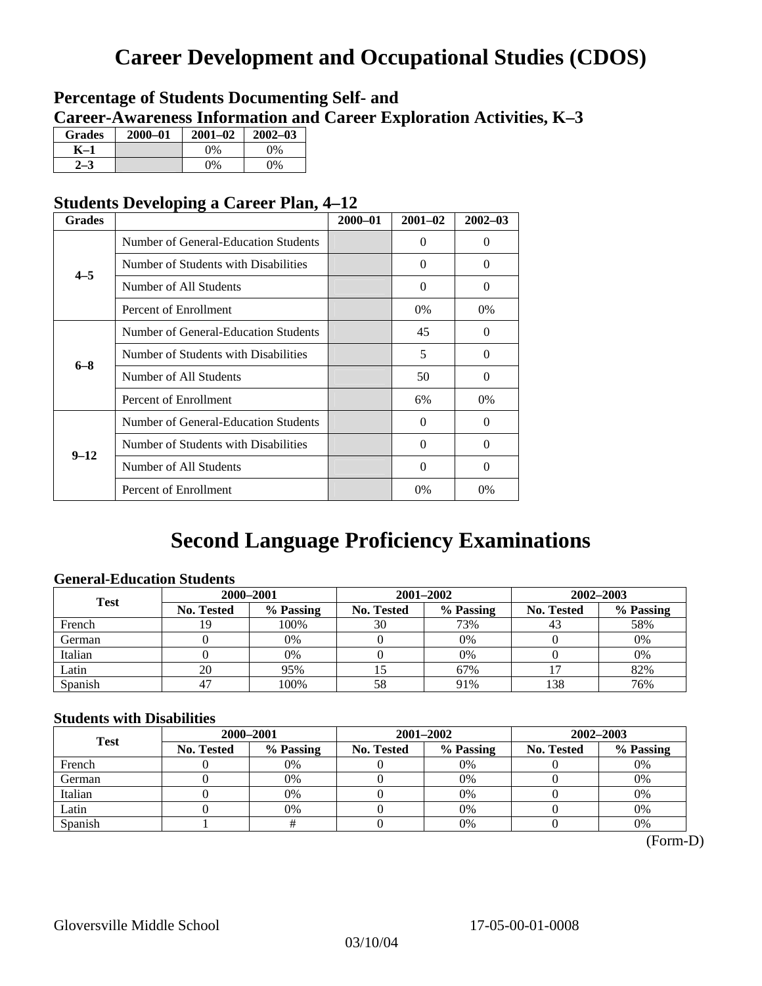# **Career Development and Occupational Studies (CDOS)**

### **Percentage of Students Documenting Self- and Career-Awareness Information and Career Exploration Activities, K–3**

| <b>Grades</b> | 2000-01 | $2001 - 02$ | $2002 - 03$ |
|---------------|---------|-------------|-------------|
| K–1           |         | $0\%$       | 0%          |
| $2 - 3$       |         | $0\%$       | $0\%$       |

### **Students Developing a Career Plan, 4–12**

| <b>Grades</b> |                                      | $2000 - 01$ | $2001 - 02$ | $2002 - 03$ |
|---------------|--------------------------------------|-------------|-------------|-------------|
|               | Number of General-Education Students |             | $\Omega$    | $\theta$    |
| $4 - 5$       | Number of Students with Disabilities |             | $\Omega$    | 0           |
|               | Number of All Students               |             | 0           | 0           |
|               | Percent of Enrollment                |             | 0%          | 0%          |
|               | Number of General-Education Students |             | 45          | 0           |
| $6 - 8$       | Number of Students with Disabilities |             | 5           | $\Omega$    |
|               | Number of All Students               |             | 50          | $\Omega$    |
|               | Percent of Enrollment                |             | 6%          | $0\%$       |
|               | Number of General-Education Students |             | $\Omega$    | 0           |
| $9 - 12$      | Number of Students with Disabilities |             | 0           | 0           |
|               | Number of All Students               |             | $\Omega$    | $\theta$    |
|               | Percent of Enrollment                |             | 0%          | $0\%$       |

# **Second Language Proficiency Examinations**

### **General-Education Students**

| <b>Test</b> | 2000-2001         |           |                   | 2001-2002 | 2002-2003         |           |
|-------------|-------------------|-----------|-------------------|-----------|-------------------|-----------|
|             | <b>No. Tested</b> | % Passing | <b>No. Tested</b> | % Passing | <b>No. Tested</b> | % Passing |
| French      | 9                 | 100%      | 30                | 73%       |                   | 58%       |
| German      |                   | 0%        |                   | 0%        |                   | 0%        |
| Italian     |                   | 0%        |                   | 0%        |                   | 0%        |
| Latin       | 20                | 95%       |                   | 67%       |                   | 82%       |
| Spanish     |                   | 100%      | 58                | 91%       | 138               | 76%       |

### **Students with Disabilities**

| <b>Test</b> | 2000-2001         |           |                   | 2001-2002 | 2002-2003  |           |  |
|-------------|-------------------|-----------|-------------------|-----------|------------|-----------|--|
|             | <b>No. Tested</b> | % Passing | <b>No. Tested</b> | % Passing | No. Tested | % Passing |  |
| French      |                   | 0%        |                   | 0%        |            | 0%        |  |
| German      |                   | 0%        |                   | 0%        |            | 0%        |  |
| Italian     |                   | 0%        |                   | 0%        |            | 0%        |  |
| Latin       |                   | 0%        |                   | 0%        |            | 0%        |  |
| Spanish     |                   |           |                   | 0%        |            | 0%        |  |

(Form-D)